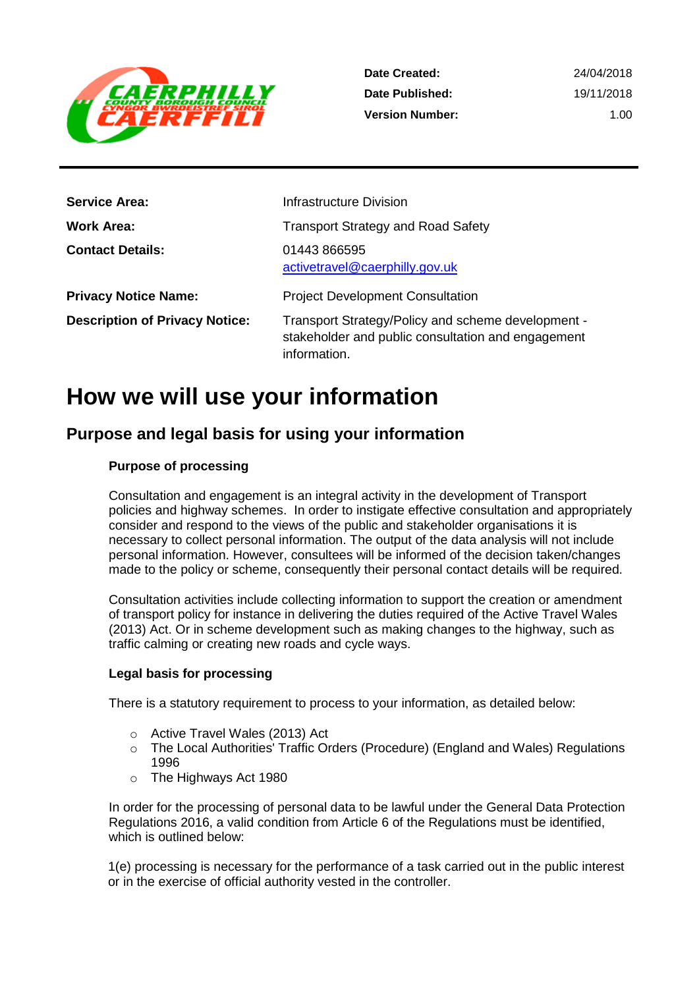

| <b>Service Area:</b>                  | Infrastructure Division                                                                                                  |
|---------------------------------------|--------------------------------------------------------------------------------------------------------------------------|
| <b>Work Area:</b>                     | <b>Transport Strategy and Road Safety</b>                                                                                |
| <b>Contact Details:</b>               | 01443 866595<br>activetravel@caerphilly.gov.uk                                                                           |
| <b>Privacy Notice Name:</b>           | <b>Project Development Consultation</b>                                                                                  |
| <b>Description of Privacy Notice:</b> | Transport Strategy/Policy and scheme development -<br>stakeholder and public consultation and engagement<br>information. |

## **How we will use your information**

## **Purpose and legal basis for using your information**

#### **Purpose of processing**

Consultation and engagement is an integral activity in the development of Transport policies and highway schemes. In order to instigate effective consultation and appropriately consider and respond to the views of the public and stakeholder organisations it is necessary to collect personal information. The output of the data analysis will not include personal information. However, consultees will be informed of the decision taken/changes made to the policy or scheme, consequently their personal contact details will be required.

Consultation activities include collecting information to support the creation or amendment of transport policy for instance in delivering the duties required of the Active Travel Wales (2013) Act. Or in scheme development such as making changes to the highway, such as traffic calming or creating new roads and cycle ways.

#### **Legal basis for processing**

There is a statutory requirement to process to your information, as detailed below:

- o Active Travel Wales (2013) Act
- o The Local Authorities' Traffic Orders (Procedure) (England and Wales) Regulations 1996
- o The Highways Act 1980

In order for the processing of personal data to be lawful under the General Data Protection Regulations 2016, a valid condition from Article 6 of the Regulations must be identified, which is outlined below:

1(e) processing is necessary for the performance of a task carried out in the public interest or in the exercise of official authority vested in the controller.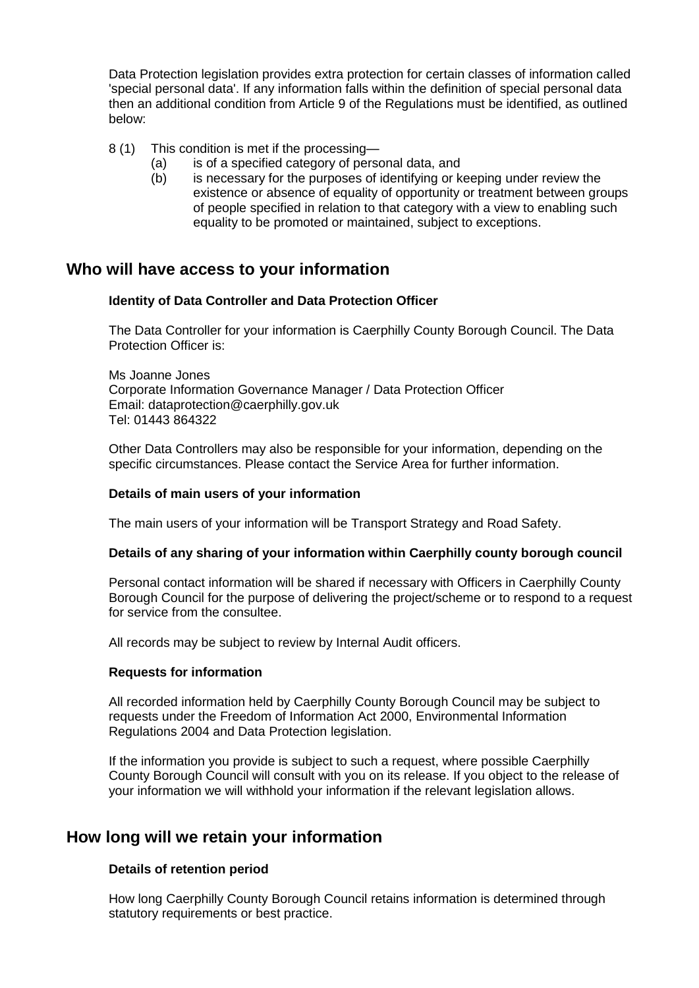Data Protection legislation provides extra protection for certain classes of information called 'special personal data'. If any information falls within the definition of special personal data then an additional condition from Article 9 of the Regulations must be identified, as outlined below:

- 8 (1) This condition is met if the processing—
	- (a) is of a specified category of personal data, and
	- (b) is necessary for the purposes of identifying or keeping under review the existence or absence of equality of opportunity or treatment between groups of people specified in relation to that category with a view to enabling such equality to be promoted or maintained, subject to exceptions.

### **Who will have access to your information**

#### **Identity of Data Controller and Data Protection Officer**

The Data Controller for your information is Caerphilly County Borough Council. The Data Protection Officer is:

Ms Joanne Jones Corporate Information Governance Manager / Data Protection Officer Email: dataprotection@caerphilly.gov.uk Tel: 01443 864322

Other Data Controllers may also be responsible for your information, depending on the specific circumstances. Please contact the Service Area for further information.

#### **Details of main users of your information**

The main users of your information will be Transport Strategy and Road Safety.

#### **Details of any sharing of your information within Caerphilly county borough council**

Personal contact information will be shared if necessary with Officers in Caerphilly County Borough Council for the purpose of delivering the project/scheme or to respond to a request for service from the consultee.

All records may be subject to review by Internal Audit officers.

#### **Requests for information**

All recorded information held by Caerphilly County Borough Council may be subject to requests under the Freedom of Information Act 2000, Environmental Information Regulations 2004 and Data Protection legislation.

If the information you provide is subject to such a request, where possible Caerphilly County Borough Council will consult with you on its release. If you object to the release of your information we will withhold your information if the relevant legislation allows.

## **How long will we retain your information**

#### **Details of retention period**

How long Caerphilly County Borough Council retains information is determined through statutory requirements or best practice.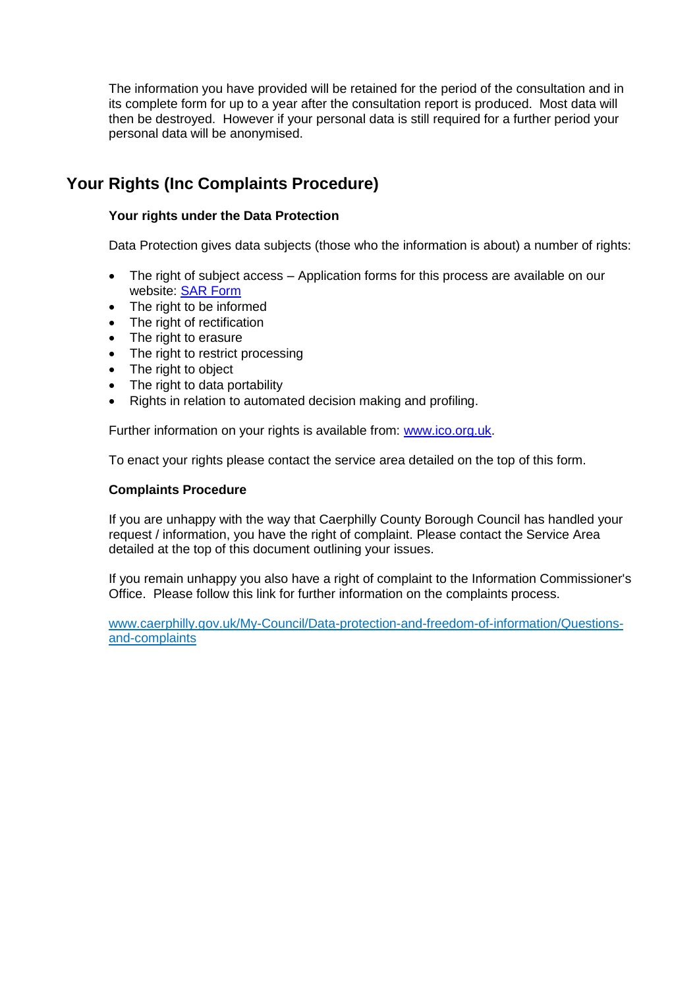The information you have provided will be retained for the period of the consultation and in its complete form for up to a year after the consultation report is produced. Most data will then be destroyed. However if your personal data is still required for a further period your personal data will be anonymised.

## **Your Rights (Inc Complaints Procedure)**

#### **Your rights under the Data Protection**

Data Protection gives data subjects (those who the information is about) a number of rights:

- The right of subject access Application forms for this process are available on our website: [SAR Form](http://www.caerphilly.gov.uk/CaerphillyDocs/Council-and-democracy/sar_form.aspx)
- The right to be informed
- The right of rectification
- The right to erasure
- The right to restrict processing
- The right to object
- The right to data portability
- Rights in relation to automated decision making and profiling.

Further information on your rights is available from: [www.ico.org.uk.](http://www.ico.org.uk/)

To enact your rights please contact the service area detailed on the top of this form.

#### **Complaints Procedure**

If you are unhappy with the way that Caerphilly County Borough Council has handled your request / information, you have the right of complaint. Please contact the Service Area detailed at the top of this document outlining your issues.

If you remain unhappy you also have a right of complaint to the Information Commissioner's Office. Please follow this link for further information on the complaints process.

[www.caerphilly.gov.uk/My-Council/Data-protection-and-freedom-of-information/Questions](http://www.caerphilly.gov.uk/My-Council/Data-protection-and-freedom-of-information/Questions-and-complaints)[and-complaints](http://www.caerphilly.gov.uk/My-Council/Data-protection-and-freedom-of-information/Questions-and-complaints)